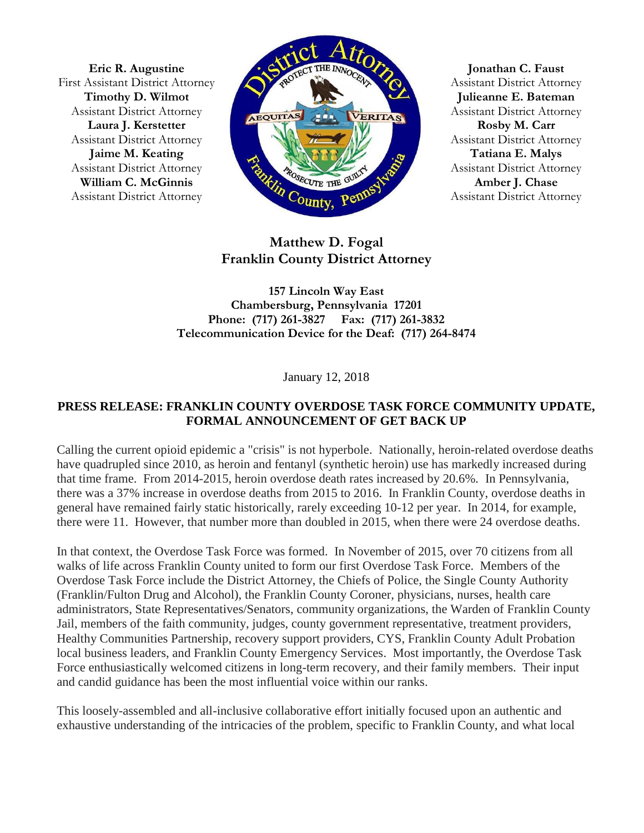**Eric R. Augustine** First Assistant District Attorney **Timothy D. Wilmot** Assistant District Attorney **Laura J. Kerstetter** Assistant District Attorney **Jaime M. Keating** Assistant District Attorney **William C. McGinnis** Assistant District Attorney



**Jonathan C. Faust** Assistant District Attorney **Julieanne E. Bateman** Assistant District Attorney **Rosby M. Carr** Assistant District Attorney **Tatiana E. Malys** Assistant District Attorney **Amber J. Chase** Assistant District Attorney

## **Matthew D. Fogal Franklin County District Attorney**

## **157 Lincoln Way East Chambersburg, Pennsylvania 17201 Phone: (717) 261-3827 Fax: (717) 261-3832 Telecommunication Device for the Deaf: (717) 264-8474**

January 12, 2018

## **PRESS RELEASE: FRANKLIN COUNTY OVERDOSE TASK FORCE COMMUNITY UPDATE, FORMAL ANNOUNCEMENT OF GET BACK UP**

Calling the current opioid epidemic a "crisis" is not hyperbole. Nationally, heroin-related overdose deaths have quadrupled since 2010, as heroin and fentanyl (synthetic heroin) use has markedly increased during that time frame. From 2014-2015, heroin overdose death rates increased by 20.6%. In Pennsylvania, there was a 37% increase in overdose deaths from 2015 to 2016. In Franklin County, overdose deaths in general have remained fairly static historically, rarely exceeding 10-12 per year. In 2014, for example, there were 11. However, that number more than doubled in 2015, when there were 24 overdose deaths.

In that context, the Overdose Task Force was formed. In November of 2015, over 70 citizens from all walks of life across Franklin County united to form our first Overdose Task Force. Members of the Overdose Task Force include the District Attorney, the Chiefs of Police, the Single County Authority (Franklin/Fulton Drug and Alcohol), the Franklin County Coroner, physicians, nurses, health care administrators, State Representatives/Senators, community organizations, the Warden of Franklin County Jail, members of the faith community, judges, county government representative, treatment providers, Healthy Communities Partnership, recovery support providers, CYS, Franklin County Adult Probation local business leaders, and Franklin County Emergency Services. Most importantly, the Overdose Task Force enthusiastically welcomed citizens in long-term recovery, and their family members. Their input and candid guidance has been the most influential voice within our ranks.

This loosely-assembled and all-inclusive collaborative effort initially focused upon an authentic and exhaustive understanding of the intricacies of the problem, specific to Franklin County, and what local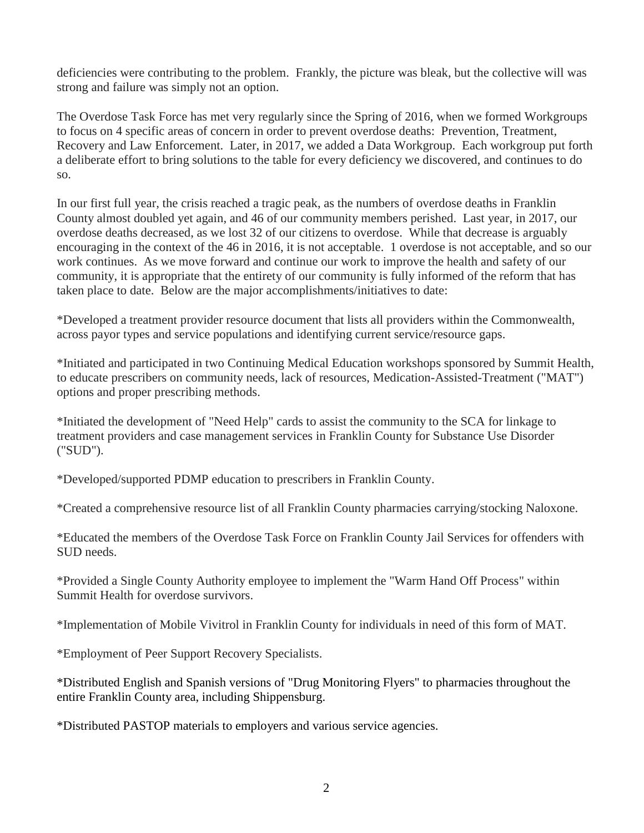deficiencies were contributing to the problem. Frankly, the picture was bleak, but the collective will was strong and failure was simply not an option.

The Overdose Task Force has met very regularly since the Spring of 2016, when we formed Workgroups to focus on 4 specific areas of concern in order to prevent overdose deaths: Prevention, Treatment, Recovery and Law Enforcement. Later, in 2017, we added a Data Workgroup. Each workgroup put forth a deliberate effort to bring solutions to the table for every deficiency we discovered, and continues to do so.

In our first full year, the crisis reached a tragic peak, as the numbers of overdose deaths in Franklin County almost doubled yet again, and 46 of our community members perished. Last year, in 2017, our overdose deaths decreased, as we lost 32 of our citizens to overdose. While that decrease is arguably encouraging in the context of the 46 in 2016, it is not acceptable. 1 overdose is not acceptable, and so our work continues. As we move forward and continue our work to improve the health and safety of our community, it is appropriate that the entirety of our community is fully informed of the reform that has taken place to date. Below are the major accomplishments/initiatives to date:

\*Developed a treatment provider resource document that lists all providers within the Commonwealth, across payor types and service populations and identifying current service/resource gaps.

\*Initiated and participated in two Continuing Medical Education workshops sponsored by Summit Health, to educate prescribers on community needs, lack of resources, Medication-Assisted-Treatment ("MAT") options and proper prescribing methods.

\*Initiated the development of "Need Help" cards to assist the community to the SCA for linkage to treatment providers and case management services in Franklin County for Substance Use Disorder ("SUD").

\*Developed/supported PDMP education to prescribers in Franklin County.

\*Created a comprehensive resource list of all Franklin County pharmacies carrying/stocking Naloxone.

\*Educated the members of the Overdose Task Force on Franklin County Jail Services for offenders with SUD needs.

\*Provided a Single County Authority employee to implement the "Warm Hand Off Process" within Summit Health for overdose survivors.

\*Implementation of Mobile Vivitrol in Franklin County for individuals in need of this form of MAT.

\*Employment of Peer Support Recovery Specialists.

\*Distributed English and Spanish versions of "Drug Monitoring Flyers" to pharmacies throughout the entire Franklin County area, including Shippensburg.

\*Distributed PASTOP materials to employers and various service agencies.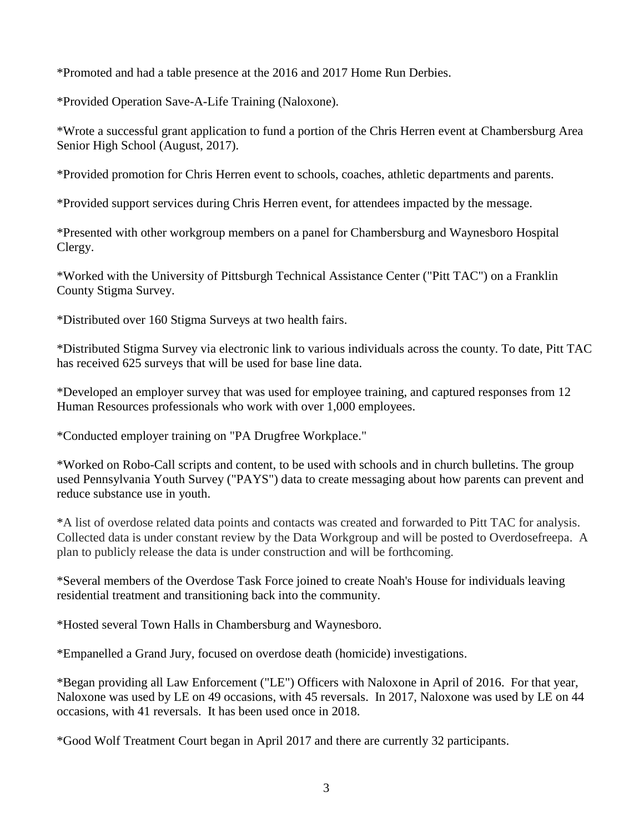\*Promoted and had a table presence at the 2016 and 2017 Home Run Derbies.

\*Provided Operation Save-A-Life Training (Naloxone).

\*Wrote a successful grant application to fund a portion of the Chris Herren event at Chambersburg Area Senior High School (August, 2017).

\*Provided promotion for Chris Herren event to schools, coaches, athletic departments and parents.

\*Provided support services during Chris Herren event, for attendees impacted by the message.

\*Presented with other workgroup members on a panel for Chambersburg and Waynesboro Hospital Clergy.

\*Worked with the University of Pittsburgh Technical Assistance Center ("Pitt TAC") on a Franklin County Stigma Survey.

\*Distributed over 160 Stigma Surveys at two health fairs.

\*Distributed Stigma Survey via electronic link to various individuals across the county. To date, Pitt TAC has received 625 surveys that will be used for base line data.

\*Developed an employer survey that was used for employee training, and captured responses from 12 Human Resources professionals who work with over 1,000 employees.

\*Conducted employer training on "PA Drugfree Workplace."

\*Worked on Robo-Call scripts and content, to be used with schools and in church bulletins. The group used Pennsylvania Youth Survey ("PAYS") data to create messaging about how parents can prevent and reduce substance use in youth.

\*A list of overdose related data points and contacts was created and forwarded to Pitt TAC for analysis. Collected data is under constant review by the Data Workgroup and will be posted to Overdosefreepa. A plan to publicly release the data is under construction and will be forthcoming.

\*Several members of the Overdose Task Force joined to create Noah's House for individuals leaving residential treatment and transitioning back into the community.

\*Hosted several Town Halls in Chambersburg and Waynesboro.

\*Empanelled a Grand Jury, focused on overdose death (homicide) investigations.

\*Began providing all Law Enforcement ("LE") Officers with Naloxone in April of 2016. For that year, Naloxone was used by LE on 49 occasions, with 45 reversals. In 2017, Naloxone was used by LE on 44 occasions, with 41 reversals. It has been used once in 2018.

\*Good Wolf Treatment Court began in April 2017 and there are currently 32 participants.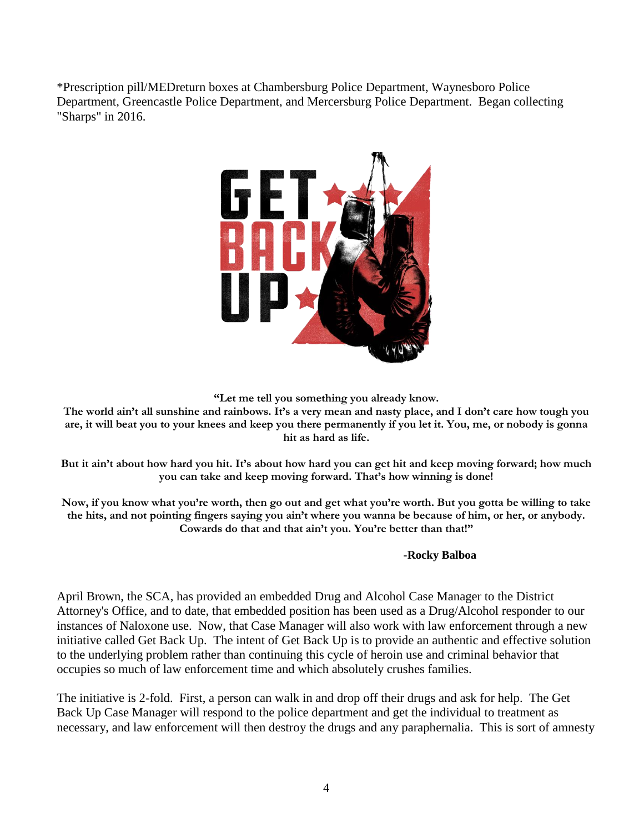\*Prescription pill/MEDreturn boxes at Chambersburg Police Department, Waynesboro Police Department, Greencastle Police Department, and Mercersburg Police Department. Began collecting "Sharps" in 2016.



**"Let me tell you something you already know.**

**The world ain't all sunshine and rainbows. It's a very mean and nasty place, and I don't care how tough you are, it will beat you to your knees and keep you there permanently if you let it. You, me, or nobody is gonna hit as hard as life.**

**But it ain't about how hard you hit. It's about how hard you can get hit and keep moving forward; how much you can take and keep moving forward. That's how winning is done!**

**Now, if you know what you're worth, then go out and get what you're worth. But you gotta be willing to take the hits, and not pointing fingers saying you ain't where you wanna be because of him, or her, or anybody. Cowards do that and that ain't you. You're better than that!"**

## **-Rocky Balboa**

April Brown, the SCA, has provided an embedded Drug and Alcohol Case Manager to the District Attorney's Office, and to date, that embedded position has been used as a Drug/Alcohol responder to our instances of Naloxone use. Now, that Case Manager will also work with law enforcement through a new initiative called Get Back Up. The intent of Get Back Up is to provide an authentic and effective solution to the underlying problem rather than continuing this cycle of heroin use and criminal behavior that occupies so much of law enforcement time and which absolutely crushes families.

The initiative is 2-fold. First, a person can walk in and drop off their drugs and ask for help. The Get Back Up Case Manager will respond to the police department and get the individual to treatment as necessary, and law enforcement will then destroy the drugs and any paraphernalia. This is sort of amnesty